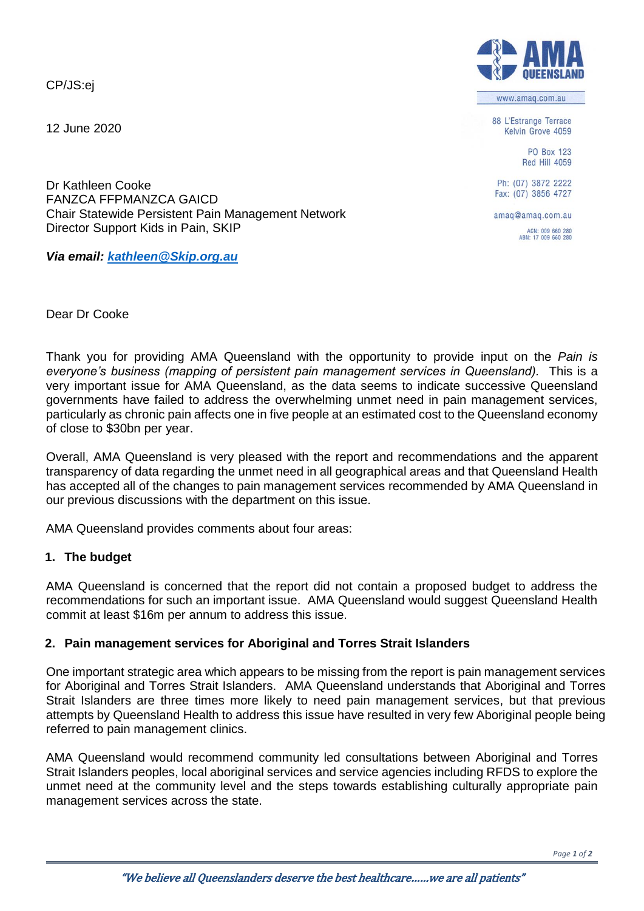CP/JS:ej

12 June 2020

88 L'Estrange Terrace Kelvin Grove 4059

> **PO Box 123 Red Hill 4059**

Ph: (07) 3872 2222 Fax: (07) 3856 4727

amaq@amaq.com.au

ACN: 009 660 280<br>ABN: 17 009 660 280

Dr Kathleen Cooke FANZCA FFPMANZCA GAICD Chair Statewide Persistent Pain Management Network Director Support Kids in Pain, SKIP

*Via email: [kathleen@Skip.org.au](mailto:kathleen@Skip.org.au)*

Dear Dr Cooke

Thank you for providing AMA Queensland with the opportunity to provide input on the *Pain is everyone's business (mapping of persistent pain management services in Queensland).* This is a very important issue for AMA Queensland, as the data seems to indicate successive Queensland governments have failed to address the overwhelming unmet need in pain management services, particularly as chronic pain affects one in five people at an estimated cost to the Queensland economy of close to \$30bn per year.

Overall, AMA Queensland is very pleased with the report and recommendations and the apparent transparency of data regarding the unmet need in all geographical areas and that Queensland Health has accepted all of the changes to pain management services recommended by AMA Queensland in our previous discussions with the department on this issue.

AMA Queensland provides comments about four areas:

## **1. The budget**

AMA Queensland is concerned that the report did not contain a proposed budget to address the recommendations for such an important issue. AMA Queensland would suggest Queensland Health commit at least \$16m per annum to address this issue.

## **2. Pain management services for Aboriginal and Torres Strait Islanders**

One important strategic area which appears to be missing from the report is pain management services for Aboriginal and Torres Strait Islanders. AMA Queensland understands that Aboriginal and Torres Strait Islanders are three times more likely to need pain management services, but that previous attempts by Queensland Health to address this issue have resulted in very few Aboriginal people being referred to pain management clinics.

AMA Queensland would recommend community led consultations between Aboriginal and Torres Strait Islanders peoples, local aboriginal services and service agencies including RFDS to explore the unmet need at the community level and the steps towards establishing culturally appropriate pain management services across the state.



www.amaq.com.au